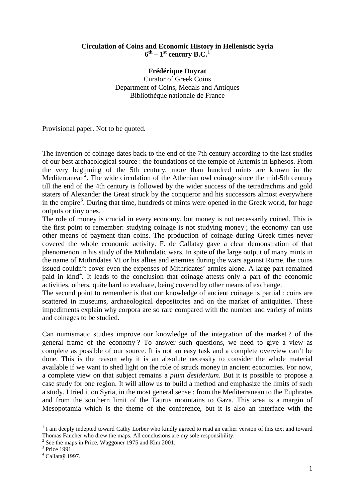## **Circulation of Coins and Economic History in Hellenistic Syria 6th – 1st century B.C.**[1](#page-0-0)

**Frédérique Duyrat**

Curator of Greek Coins Department of Coins, Medals and Antiques Bibliothèque nationale de France

Provisional paper. Not to be quoted.

The invention of coinage dates back to the end of the 7th century according to the last studies of our best archaeological source : the foundations of the temple of Artemis in Ephesos. From the very beginning of the 5th century, more than hundred mints are known in the Mediterranean<sup>[2](#page-0-1)</sup>. The wide circulation of the Athenian owl coinage since the mid-5th century till the end of the 4th century is followed by the wider success of the tetradrachms and gold staters of Alexander the Great struck by the conqueror and his successors almost everywhere in the empire<sup>[3](#page-0-2)</sup>. During that time, hundreds of mints were opened in the Greek world, for huge outputs or tiny ones.

The role of money is crucial in every economy, but money is not necessarily coined. This is the first point to remember: studying coinage is not studying money ; the economy can use other means of payment than coins. The production of coinage during Greek times never covered the whole economic activity. F. de Callataÿ gave a clear demonstration of that phenomenon in his study of the Mithridatic wars. In spite of the large output of many mints in the name of Mithridates VI or his allies and enemies during the wars against Rome, the coins issued couldn't cover even the expenses of Mithridates' armies alone. A large part remained paid in kind<sup>[4](#page-0-3)</sup>. It leads to the conclusion that coinage attests only a part of the economic activities, others, quite hard to evaluate, being covered by other means of exchange.

The second point to remember is that our knowledge of ancient coinage is partial : coins are scattered in museums, archaeological depositories and on the market of antiquities. These impediments explain why corpora are so rare compared with the number and variety of mints and coinages to be studied.

Can numismatic studies improve our knowledge of the integration of the market ? of the general frame of the economy ? To answer such questions, we need to give a view as complete as possible of our source. It is not an easy task and a complete overview can't be done. This is the reason why it is an absolute necessity to consider the whole material available if we want to shed light on the role of struck money in ancient economies. For now, a complete view on that subject remains a *pium desiderium*. But it is possible to propose a case study for one region. It will allow us to build a method and emphasize the limits of such a study. I tried it on Syria, in the most general sense : from the Mediterranean to the Euphrates and from the southern limit of the Taurus mountains to Gaza. This area is a margin of Mesopotamia which is the theme of the conference, but it is also an interface with the

<span id="page-0-0"></span><sup>&</sup>lt;sup>1</sup> I am deeply indepted toward Cathy Lorber who kindly agreed to read an earlier version of this text and toward Thomas Faucher who drew the maps. All conclusions are my sole responsibility.

<span id="page-0-1"></span><sup>&</sup>lt;sup>2</sup> See the maps in Price, Waggoner 1975 and Kim 2001.<br><sup>3</sup> Price 1991.

<span id="page-0-2"></span>

<span id="page-0-3"></span><sup>4</sup> Callataÿ 1997.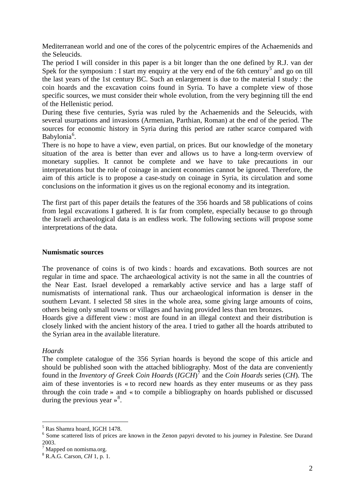Mediterranean world and one of the cores of the polycentric empires of the Achaemenids and the Seleucids.

The period I will consider in this paper is a bit longer than the one defined by R.J. van der Spek for the symposium : I start my enquiry at the very end of the 6th century<sup>[5](#page-1-0)</sup> and go on till the last years of the 1st century BC. Such an enlargement is due to the material I study : the coin hoards and the excavation coins found in Syria. To have a complete view of those specific sources, we must consider their whole evolution, from the very beginning till the end of the Hellenistic period.

During these five centuries, Syria was ruled by the Achaemenids and the Seleucids, with several usurpations and invasions (Armenian, Parthian, Roman) at the end of the period. The sources for economic history in Syria during this period are rather scarce compared with Babylonia<sup>[6](#page-1-1)</sup>.

There is no hope to have a view, even partial, on prices. But our knowledge of the monetary situation of the area is better than ever and allows us to have a long-term overview of monetary supplies. It cannot be complete and we have to take precautions in our interpretations but the role of coinage in ancient economies cannot be ignored. Therefore, the aim of this article is to propose a case-study on coinage in Syria, its circulation and some conclusions on the information it gives us on the regional economy and its integration.

The first part of this paper details the features of the 356 hoards and 58 publications of coins from legal excavations I gathered. It is far from complete, especially because to go through the Israeli archaeological data is an endless work. The following sections will propose some interpretations of the data.

## **Numismatic sources**

The provenance of coins is of two kinds : hoards and excavations. Both sources are not regular in time and space. The archaeological activity is not the same in all the countries of the Near East. Israel developed a remarkably active service and has a large staff of numismatists of international rank. Thus our archaeological information is denser in the southern Levant. I selected 58 sites in the whole area, some giving large amounts of coins, others being only small towns or villages and having provided less than ten bronzes.

Hoards give a different view : most are found in an illegal context and their distribution is closely linked with the ancient history of the area. I tried to gather all the hoards attributed to the Syrian area in the available literature.

## *Hoards*

The complete catalogue of the 356 Syrian hoards is beyond the scope of this article and should be published soon with the attached bibliography. Most of the data are conveniently found in the *Inventory of Greek Coin Hoards* (*IGCH*) [7](#page-1-2) and the *Coin Hoards* series (*CH*). The aim of these inventories is « to record new hoards as they enter museums or as they pass through the coin trade » and « to compile a bibliography on hoards published or discussed during the previous year  $\frac{1}{2}$ <sup>[8](#page-1-3)</sup>.

<span id="page-1-0"></span> <sup>5</sup> Ras Shamra hoard, IGCH 1478.

<span id="page-1-1"></span><sup>&</sup>lt;sup>6</sup> Some scattered lists of prices are known in the Zenon papyri devoted to his journey in Palestine. See Durand 2003.

<span id="page-1-2"></span> $<sup>7</sup>$  Mapped on nomisma.org.</sup>

<span id="page-1-3"></span><sup>8</sup> R.A.G. Carson, *CH* 1, p. 1.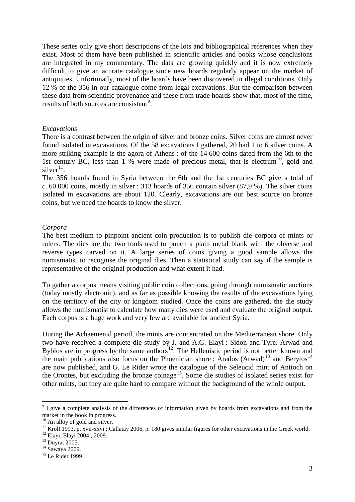These series only give short descriptions of the lots and bibliographical references when they exist. Most of them have been published in scientific articles and books whose conclusions are integrated in my commentary. The data are growing quickly and it is now extremely difficult to give an acurate catalogue since new hoards regularly appear on the market of antiquities. Unfortunatly, most of the hoards have been discovered in illegal conditions. Only 12 % of the 356 in our catalogue come from legal excavations. But the comparison between these data from scientific provenance and these from trade hoards show that, most of the time, results of both sources are consistent<sup>[9](#page-2-0)</sup>.

#### *Excavations*

There is a contrast between the origin of silver and bronze coins. Silver coins are almost never found isolated in excavations. Of the 58 excavations I gathered, 20 had 1 to 6 silver coins. A more striking example is the agora of Athens : of the 14 600 coins dated from the 6th to the 1st century BC, less than 1 % were made of precious metal, that is electrum<sup>10</sup>, gold and  $\text{silver}^{11}$  $\text{silver}^{11}$  $\text{silver}^{11}$ .

The 356 hoards found in Syria between the 6th and the 1st centuries BC give a total of *c*. 60 000 coins, mostly in silver : 313 hoards of 356 contain silver (87,9 %). The silver coins isolated in excavations are about 120. Clearly, excavations are our best source on bronze coins, but we need the hoards to know the silver.

## *Corpora*

The best medium to pinpoint ancient coin production is to publish die corpora of mints or rulers. The dies are the two tools used to punch a plain metal blank with the obverse and reverse types carved on it. A large series of coins giving a good sample allows the numismatist to recognise the original dies. Then a statistical study can say if the sample is representative of the original production and what extent it had.

To gather a corpus means visiting public coin collections, going through numismatic auctions (today mostly electronic), and as far as possible knowing the results of the excavations lying on the territory of the city or kingdom studied. Once the coins are gathered, the die study allows the numismatist to calculate how many dies were used and evaluate the original output. Each corpus is a huge work and very few are available for ancient Syria.

During the Achaemenid period, the mints are concentrated on the Mediterranean shore. Only two have received a complete die study by J. and A.G. Elayi : Sidon and Tyre. Arwad and Byblos are in progress by the same authors<sup>[12](#page-2-3)</sup>. The Hellenistic period is not better known and the main publications also focus on the Phoenician shore : Arados (Arwad)<sup>[13](#page-2-4)</sup> and Berytos<sup>[14](#page-2-5)</sup> are now published, and G. Le Rider wrote the catalogue of the Seleucid mint of Antioch on the Orontes, but excluding the bronze coinage<sup>[15](#page-2-6)</sup>. Some die studies of isolated series exist for other mints, but they are quite hard to compare without the background of the whole output.

<span id="page-2-0"></span><sup>&</sup>lt;sup>9</sup> I give a complete analysis of the differences of information given by hoards from excavations and from the market in the book in progress.<br><sup>10</sup> An allov of gold and silver.

<span id="page-2-1"></span>

<span id="page-2-2"></span><sup>&</sup>lt;sup>11</sup> Kroll 1993, p. xvii-xxvi ; Callataÿ 2006, p. 180 gives similar figures for other excavations in the Greek world.<br><sup>12</sup> Elayi, Elayi 2004 ; 2009.<br><sup>13</sup> Duyrat 2005.<br><sup>14</sup> Sawaya 2009.<br><sup>15</sup> Le Rider 1999.

<span id="page-2-3"></span>

<span id="page-2-4"></span>

<span id="page-2-5"></span>

<span id="page-2-6"></span>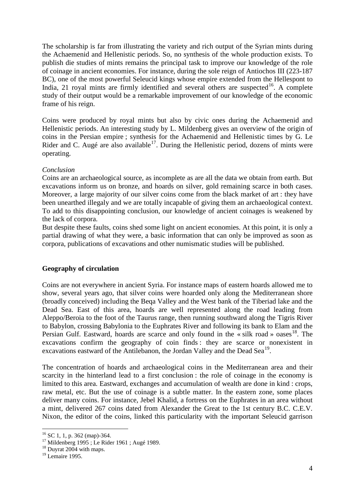The scholarship is far from illustrating the variety and rich output of the Syrian mints during the Achaemenid and Hellenistic periods. So, no synthesis of the whole production exists. To publish die studies of mints remains the principal task to improve our knowledge of the role of coinage in ancient economies. For instance, during the sole reign of Antiochos III (223-187 BC), one of the most powerful Seleucid kings whose empire extended from the Hellespont to India, 21 royal mints are firmly identified and several others are suspected<sup>16</sup>. A complete study of their output would be a remarkable improvement of our knowledge of the economic frame of his reign.

Coins were produced by royal mints but also by civic ones during the Achaemenid and Hellenistic periods. An interesting study by L. Mildenberg gives an overview of the origin of coins in the Persian empire ; synthesis for the Achaemenid and Hellenistic times by G. Le Rider and C. Augé are also available<sup>17</sup>. During the Hellenistic period, dozens of mints were operating.

## *Conclusion*

Coins are an archaeological source, as incomplete as are all the data we obtain from earth. But excavations inform us on bronze, and hoards on silver, gold remaining scarce in both cases. Moreover, a large majority of our silver coins come from the black market of art : they have been unearthed illegaly and we are totally incapable of giving them an archaeological context. To add to this disappointing conclusion, our knowledge of ancient coinages is weakened by the lack of corpora.

But despite these faults, coins shed some light on ancient economies. At this point, it is only a partial drawing of what they were, a basic information that can only be improved as soon as corpora, publications of excavations and other numismatic studies will be published.

# **Geography of circulation**

Coins are not everywhere in ancient Syria. For instance maps of eastern hoards allowed me to show, several years ago, that silver coins were hoarded only along the Mediterranean shore (broadly conceived) including the Beqa Valley and the West bank of the Tiberiad lake and the Dead Sea. East of this area, hoards are well represented along the road leading from Aleppo/Beroia to the foot of the Taurus range, then running southward along the Tigris River to Babylon, crossing Babylonia to the Euphrates River and following its bank to Elam and the Persian Gulf. Eastward, hoards are scarce and only found in the « silk road » oases<sup>[18](#page-3-2)</sup>. The excavations confirm the geography of coin finds : they are scarce or nonexistent in excavations eastward of the Antilebanon, the Jordan Valley and the Dead Sea<sup>[19](#page-3-3)</sup>.

The concentration of hoards and archaeological coins in the Mediterranean area and their scarcity in the hinterland lead to a first conclusion : the role of coinage in the economy is limited to this area. Eastward, exchanges and accumulation of wealth are done in kind : crops, raw metal, etc. But the use of coinage is a subtle matter. In the eastern zone, some places deliver many coins. For instance, Jebel Khalid, a fortress on the Euphrates in an area without a mint, delivered 267 coins dated from Alexander the Great to the 1st century B.C. C.E.V. Nixon, the editor of the coins, linked this particularity with the important Seleucid garrison

<span id="page-3-1"></span><span id="page-3-0"></span><sup>&</sup>lt;sup>16</sup> SC 1, 1, p. 362 (map)-364.<br><sup>17</sup> Mildenberg 1995 ; Le Rider 1961 ; Augé 1989.<br><sup>18</sup> Duyrat 2004 with maps.

<span id="page-3-3"></span><span id="page-3-2"></span><sup>&</sup>lt;sup>19</sup> Lemaire 1995.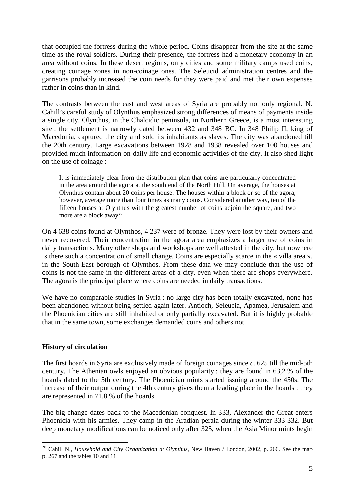that occupied the fortress during the whole period. Coins disappear from the site at the same time as the royal soldiers. During their presence, the fortress had a monetary economy in an area without coins. In these desert regions, only cities and some military camps used coins, creating coinage zones in non-coinage ones. The Seleucid administration centres and the garrisons probably increased the coin needs for they were paid and met their own expenses rather in coins than in kind.

The contrasts between the east and west areas of Syria are probably not only regional. N. Cahill's careful study of Olynthus emphasized strong differences of means of payments inside a single city. Olynthus, in the Chalcidic peninsula, in Northern Greece, is a most interesting site : the settlement is narrowly dated between 432 and 348 BC. In 348 Philip II, king of Macedonia, captured the city and sold its inhabitants as slaves. The city was abandoned till the 20th century. Large excavations between 1928 and 1938 revealed over 100 houses and provided much information on daily life and economic activities of the city. It also shed light on the use of coinage :

It is immediately clear from the distribution plan that coins are particularly concentrated in the area around the agora at the south end of the North Hill. On average, the houses at Olynthus contain about 20 coins per house. The houses within a block or so of the agora, however, average more than four times as many coins. Considered another way, ten of the fifteen houses at Olynthus with the greatest number of coins adjoin the square, and two more are a block away<sup>20</sup>.

On 4 638 coins found at Olynthos, 4 237 were of bronze. They were lost by their owners and never recovered. Their concentration in the agora area emphasizes a larger use of coins in daily transactions. Many other shops and workshops are well attested in the city, but nowhere is there such a concentration of small change. Coins are especially scarce in the « villa area », in the South-East borough of Olynthos. From these data we may conclude that the use of coins is not the same in the different areas of a city, even when there are shops everywhere. The agora is the principal place where coins are needed in daily transactions.

We have no comparable studies in Syria : no large city has been totally excavated, none has been abandoned without being settled again later. Antioch, Seleucia, Apamea, Jerusalem and the Phoenician cities are still inhabited or only partially excavated. But it is highly probable that in the same town, some exchanges demanded coins and others not.

# **History of circulation**

The first hoards in Syria are exclusively made of foreign coinages since *c*. 625 till the mid-5th century. The Athenian owls enjoyed an obvious popularity : they are found in 63,2 % of the hoards dated to the 5th century. The Phoenician mints started issuing around the 450s. The increase of their output during the 4th century gives them a leading place in the hoards : they are represented in 71,8 % of the hoards.

The big change dates back to the Macedonian conquest. In 333, Alexander the Great enters Phoenicia with his armies. They camp in the Aradian peraia during the winter 333-332. But deep monetary modifications can be noticed only after 325, when the Asia Minor mints begin

<span id="page-4-0"></span><sup>&</sup>lt;sup>20</sup> Cahill N., *Household and City Organization at Olynthus*, New Haven / London, 2002, p. 266. See the map p. 267 and the tables 10 and 11.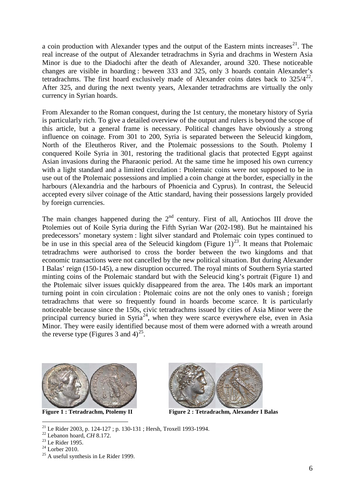a coin production with Alexander types and the output of the Eastern mints increases $^{21}$ . The real increase of the output of Alexander tetradrachms in Syria and drachms in Western Asia Minor is due to the Diadochi after the death of Alexander, around 320. These noticeable changes are visible in hoarding : beween 333 and 325, only 3 hoards contain Alexander's tetradrachms. The first hoard exclusively made of Alexander coins dates back to  $325/4^{22}$ . After 325, and during the next twenty years, Alexander tetradrachms are virtually the only currency in Syrian hoards.

From Alexander to the Roman conquest, during the 1st century, the monetary history of Syria is particularly rich. To give a detailed overview of the output and rulers is beyond the scope of this article, but a general frame is necessary. Political changes have obviously a strong influence on coinage. From 301 to 200, Syria is separated between the Seleucid kingdom, North of the Eleutheros River, and the Ptolemaic possessions to the South. Ptolemy I conquered Koile Syria in 301, restoring the traditional glacis that protected Egypt against Asian invasions during the Pharaonic period. At the same time he imposed his own currency with a light standard and a limited circulation : Ptolemaic coins were not supposed to be in use out of the Ptolemaic possessions and implied a coin change at the border, especially in the harbours (Alexandria and the harbours of Phoenicia and Cyprus). In contrast, the Seleucid accepted every silver coinage of the Attic standard, having their possessions largely provided by foreign currencies.

The main changes happened during the  $2<sup>nd</sup>$  century. First of all, Antiochos III drove the Ptolemies out of Koile Syria during the Fifth Syrian War (202-198). But he maintained his predecessors' monetary system : light silver standard and Ptolemaic coin types continued to be in use in this special area of the Seleucid kingdom (Figure  $1)^{23}$  $1)^{23}$  $1)^{23}$ . It means that Ptolemaic minting coins of the Ptolemaic standard but with the Seleucid king's portrait ([Figure 1](#page-5-0)) and tetradrachms were authorised to cross the border between the two kingdoms and that economic transactions were not cancelled by the new political situation. But during Alexander I Balas' reign (150-145), a new disruption occurred. The royal mints of Southern Syria started the Ptolemaic silver issues quickly disappeared from the area. The 140s mark an important turning point in coin circulation : Ptolemaic coins are not the only ones to vanish ; foreign tetradrachms that were so frequently found in hoards become scarce. It is particularly noticeable because since the 150s, civic tetradrachms issued by cities of Asia Minor were the principal currency buried in Syria<sup>[24](#page-5-4)</sup>, when they were scarce everywhere else, even in Asia Minor. They were easily identified because most of them were adorned with a wreath around the reverse type (Figures 3 and 4)<sup>25</sup>.





**Figure 1 : Tetradrachm, Ptolemy II Figure 2 : Tetradrachm, Alexander I Balas**

<span id="page-5-2"></span><span id="page-5-1"></span><span id="page-5-0"></span><sup>&</sup>lt;sup>21</sup> Le Rider 2003, p. 124-127 ; p. 130-131 ; Hersh, Troxell 1993-1994.<br><sup>22</sup> Lebanon hoard, *CH* 8.172.<br><sup>23</sup> Le Rider 1995.<br><sup>24</sup> Lorber 2010.<br><sup>25</sup> A useful synthesis in Le Rider 1999.

<span id="page-5-3"></span>

<span id="page-5-4"></span>

<span id="page-5-5"></span>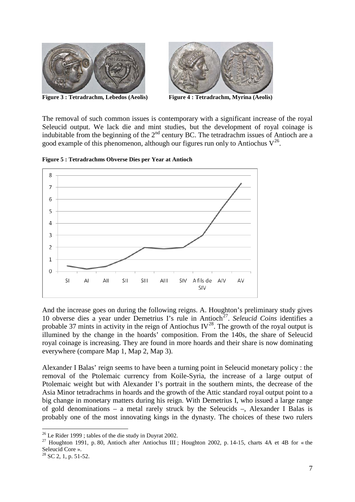

**Figure 3 : Tetradrachm, Lebedos (Aeolis) Figure 4 : Tetradrachm, Myrina (Aeolis)**



The removal of such common issues is contemporary with a significant increase of the royal Seleucid output. We lack die and mint studies, but the development of royal coinage is indubitable from the beginning of the  $2<sup>nd</sup>$  century BC. The tetradrachm issues of Antioch are a good example of this phenomenon, although our figures run only to Antiochus  $V^{26}$  $V^{26}$  $V^{26}$ .

**Figure 5 : Tetradrachms Obverse Dies per Year at Antioch**



And the increase goes on during the following reigns. A. Houghton's preliminary study gives 10 obverse dies a year under Demetrius I's rule in Antioch<sup>[27](#page-6-1)</sup>. Seleucid Coins identifies a probable 37 mints in activity in the reign of Antiochus IV<sup>[28](#page-6-2)</sup>. The growth of the royal output is illumined by the change in the hoards' composition. From the 140s, the share of Seleucid royal coinage is increasing. They are found in more hoards and their share is now dominating everywhere (compare Map 1, Map 2, Map 3).

Alexander I Balas' reign seems to have been a turning point in Seleucid monetary policy : the removal of the Ptolemaic currency from Koile-Syria, the increase of a large output of Ptolemaic weight but with Alexander I's portrait in the southern mints, the decrease of the Asia Minor tetradrachms in hoards and the growth of the Attic standard royal output point to a big change in monetary matters during his reign. With Demetrius I, who issued a large range of gold denominations – a metal rarely struck by the Seleucids –, Alexander I Balas is probably one of the most innovating kings in the dynasty. The choices of these two rulers

<span id="page-6-1"></span><span id="page-6-0"></span><sup>&</sup>lt;sup>26</sup> Le Rider 1999 ; tables of the die study in Duyrat 2002.<br><sup>27</sup> Houghton 1991, p. 80, Antioch after Antiochus III ; Houghton 2002, p. 14-15, charts 4A et 4B for « the Seleucid Core ».

<span id="page-6-2"></span> $28$  SC 2, 1, p. 51-52.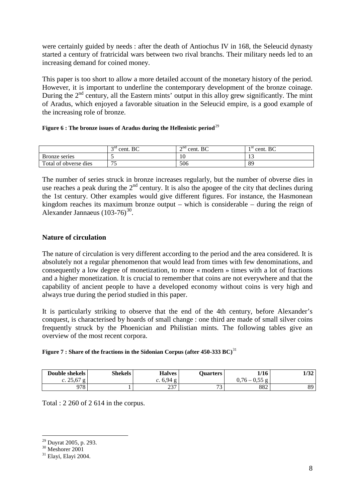were certainly guided by needs : after the death of Antiochus IV in 168, the Seleucid dynasty started a century of fratricidal wars between two rival branchs. Their military needs led to an increasing demand for coined money.

This paper is too short to allow a more detailed account of the monetary history of the period. However, it is important to underline the contemporary development of the bronze coinage. During the  $2<sup>nd</sup>$  century, all the Eastern mints' output in this alloy grew significantly. The mint of Aradus, which enjoyed a favorable situation in the Seleucid empire, is a good example of the increasing role of bronze.

## **Figure 6 : The bronze issues of Aradus during the Hellenistic period**[29](#page-7-0)

|                       | $\gamma$ rd<br>cent. BC<br>- 1 | $\sim$ nd<br>cent. BC<br><b>__</b> | cent. BC<br>1 SI |
|-----------------------|--------------------------------|------------------------------------|------------------|
| Bronze series         |                                | 10                                 | . .              |
| Total of obverse dies | 75<br>ر ،                      | 506                                | 89               |

The number of series struck in bronze increases regularly, but the number of obverse dies in use reaches a peak during the  $2<sup>nd</sup>$  century. It is also the apogee of the city that declines during the 1st century. Other examples would give different figures. For instance, the Hasmonean kingdom reaches its maximum bronze output – which is considerable – during the reign of Alexander Jannaeus (103-76) [30.](#page-7-1)

# **Nature of circulation**

The nature of circulation is very different according to the period and the area considered. It is absolutely not a regular phenomenon that would lead from times with few denominations, and consequently a low degree of monetization, to more « modern » times with a lot of fractions and a higher monetization. It is crucial to remember that coins are not everywhere and that the capability of ancient people to have a developed economy without coins is very high and always true during the period studied in this paper.

It is particularly striking to observe that the end of the 4th century, before Alexander's conquest, is characterised by hoards of small change : one third are made of small silver coins frequently struck by the Phoenician and Philistian mints. The following tables give an overview of the most recent corpora.

|  |  | Figure 7 : Share of the fractions in the Sidonian Corpus (after 450-333 BC) <sup>31</sup> |
|--|--|-------------------------------------------------------------------------------------------|
|  |  |                                                                                           |

| Double shekels                 | <b>Shekels</b> | <b>Halves</b>                | <b>Ouarters</b>               | 1/16                                               | 1/32 |
|--------------------------------|----------------|------------------------------|-------------------------------|----------------------------------------------------|------|
| $\sim$<br>$\sigma$<br>c. 25.0. |                | 94 ک<br>$\sim$<br><b></b> v. |                               | 76<br>$\sigma$<br>$\overline{\phantom{a}}$<br>v.JJ |      |
| 978                            |                | $\mathbf{a}$<br>ا ت          | $\overline{\phantom{a}}$<br>◡ | 882                                                | 89   |

Total : 2 260 of 2 614 in the corpus.

<span id="page-7-0"></span><sup>&</sup>lt;sup>29</sup> Duyrat 2005, p. 293.<br><sup>30</sup> Meshorer 2001<br><sup>31</sup> Elayi, Elayi 2004.

<span id="page-7-1"></span>

<span id="page-7-2"></span>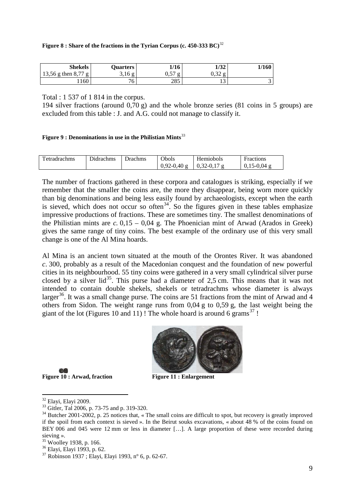**Figure 8 : Share of the fractions in the Tyrian Corpus (c. 450-333 BC)**[32](#page-8-0)

| Shekels               | <b>Ouarters</b> | 1/16                                  | 1/32                           | 1/160 |
|-----------------------|-----------------|---------------------------------------|--------------------------------|-------|
| 13,56 g then $8,77$ g | 3.16g           | $\overline{c}$<br>$\sigma$<br>∪⊷<br>ີ | $\hat{ }$ 22 $\hat{ }$<br>∪.J∠ |       |
| .160 <sup>1</sup>     | 76              | 285                                   | ⊥                              |       |

Total : 1 537 of 1 814 in the corpus.

194 silver fractions (around  $0.70$  g) and the whole bronze series (81 coins in 5 groups) are excluded from this table : J. and A.G. could not manage to classify it.

**Figure 9 : Denominations in use in the Philistian Mints**[33](#page-8-1)

| Tetradrachms | Didrachms | Jrachms | <b>Obols</b>    | <b>Hemiobols</b>      | <b>Fractions</b> |
|--------------|-----------|---------|-----------------|-----------------------|------------------|
|              |           |         | $0.92 - 0.40$ g | $(0.32 - 0.17)$<br>◡⊷ | 15-0.04 c        |

The number of fractions gathered in these corpora and catalogues is striking, especially if we remember that the smaller the coins are, the more they disappear, being worn more quickly than big denominations and being less easily found by archaeologists, except when the earth is sieved, which does not occur so often $34$ . So the figures given in these tables emphasize impressive productions of fractions. These are sometimes tiny. The smallest denominations of the Philistian mints are  $c$ .  $0.15 - 0.04$  g. The Phoenician mint of Arwad (Arados in Greek) gives the same range of tiny coins. The best example of the ordinary use of this very small change is one of the Al Mina hoards.

Al Mina is an ancient town situated at the mouth of the Orontes River. It was abandoned *c*. 300, probably as a result of the Macedonian conquest and the foundation of new powerful cities in its neighbourhood. 55 tiny coins were gathered in a very small cylindrical silver purse closed by a silver lid<sup>[35](#page-8-3)</sup>. This purse had a diameter of  $2.5$  cm. This means that it was not intended to contain double shekels, shekels or tetradrachms whose diameter is always larger<sup>[36](#page-8-4)</sup>. It was a small change purse. The coins are 51 fractions from the mint of Arwad and 4 others from Sidon. The weight range runs from 0,04 g to 0,59 g, the last weight being the giant of the lot (Figures 10 and 11) ! The whole hoard is around 6 grams<sup>[37](#page-8-5)</sup> !



**Figure 10 : Arwad, fraction Figure 11 : Enlargement**

<span id="page-8-2"></span><span id="page-8-1"></span>

<span id="page-8-0"></span><sup>&</sup>lt;sup>32</sup> Elayi, Elayi 2009.<br><sup>33</sup> Gitler, Tal 2006, p. 73-75 and p. 319-320.<br><sup>34</sup> Butcher 2001-2002, p. 25 notices that, « The small coins are difficult to spot, but recovery is greatly improved if the spoil from each context is sieved ». In the Beirut souks excavations, « about 48 % of the coins found on BEY 006 and 045 were 12 mm or less in diameter [...]. A large proportion of these were recorded during sieving ».

<span id="page-8-5"></span><span id="page-8-4"></span>

<span id="page-8-3"></span><sup>&</sup>lt;sup>35</sup> Woolley 1938, p. 166.<br><sup>36</sup> Elayi, Elayi 1993, p. 62.<br><sup>37</sup> Robinson 1937 ; Elayi, Elayi 1993, n° 6, p. 62-67.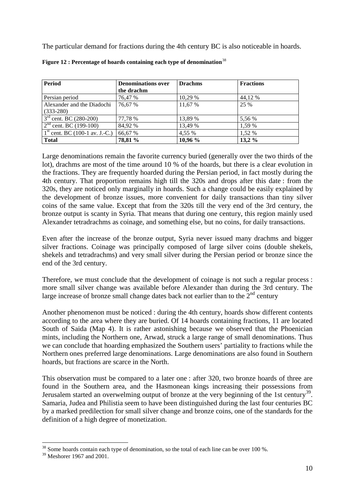The particular demand for fractions during the 4th century BC is also noticeable in hoards.

| <b>Period</b>                             | <b>Denominations over</b><br>the drachm | <b>Drachms</b> | <b>Fractions</b> |
|-------------------------------------------|-----------------------------------------|----------------|------------------|
| Persian period                            | 76.47 %                                 | 10,29 %        | 44.12 %          |
| Alexander and the Diadochi<br>$(333-280)$ | 76,67 %                                 | 11,67 %        | 25 %             |
| $3rd$ cent. BC (280-200)                  | 77.78 %                                 | 13,89 %        | 5,56 %           |
| $2nd$ cent. BC (199-100)                  | 84,92 %                                 | 13.49 %        | 1.59 %           |
| $1st$ cent. BC (100-1 av. J.-C.)          | 66,67 %                                 | 4.55 %         | 1.52 %           |
| <b>Total</b>                              | 78,81 %                                 | 10,96 %        | 13,2 %           |

**Figure 12 : Percentage of hoards containing each type of denomination**[38](#page-9-0)

Large denominations remain the favorite currency buried (generally over the two thirds of the lot), drachms are most of the time around 10 % of the hoards, but there is a clear evolution in the fractions. They are frequently hoarded during the Persian period, in fact mostly during the 4th century. That proportion remains high till the 320s and drops after this date : from the 320s, they are noticed only marginally in hoards. Such a change could be easily explained by the development of bronze issues, more convenient for daily transactions than tiny silver coins of the same value. Except that from the 320s till the very end of the 3rd century, the bronze output is scanty in Syria. That means that during one century, this region mainly used Alexander tetradrachms as coinage, and something else, but no coins, for daily transactions.

Even after the increase of the bronze output, Syria never issued many drachms and bigger silver fractions. Coinage was principally composed of large silver coins (double shekels, shekels and tetradrachms) and very small silver during the Persian period or bronze since the end of the 3rd century.

Therefore, we must conclude that the development of coinage is not such a regular process : more small silver change was available before Alexander than during the 3rd century. The large increase of bronze small change dates back not earlier than to the  $2<sup>nd</sup>$  century

Another phenomenon must be noticed : during the 4th century, hoards show different contents according to the area where they are buried. Of 14 hoards containing fractions, 11 are located South of Saida (Map 4). It is rather astonishing because we observed that the Phoenician mints, including the Northern one, Arwad, struck a large range of small denominations. Thus we can conclude that hoarding emphasized the Southern users' partiality to fractions while the Northern ones preferred large denominations. Large denominations are also found in Southern hoards, but fractions are scarce in the North.

This observation must be compared to a later one : after 320, two bronze hoards of three are found in the Southern area, and the Hasmonean kings increasing their possessions from Jerusalem started an overwelming output of bronze at the very beginning of the 1st century<sup>39</sup>. Samaria, Judea and Philistia seem to have been distinguished during the last four centuries BC by a marked predilection for small silver change and bronze coins, one of the standards for the definition of a high degree of monetization.

<span id="page-9-0"></span><sup>&</sup>lt;sup>38</sup> Some hoards contain each type of denomination, so the total of each line can be over 100 %.

<span id="page-9-1"></span><sup>&</sup>lt;sup>39</sup> Meshorer 1967 and 2001.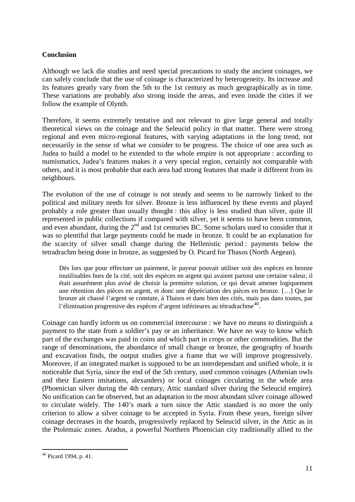## **Conclusion**

Although we lack die studies and need special precautions to study the ancient coinages, we can safely conclude that the use of coinage is characterized by heterogeneity. Its increase and its features greatly vary from the 5th to the 1st century as much geographically as in time. These variations are probably also strong inside the areas, and even inside the cities if we follow the example of Olynth.

Therefore, it seems extremely tentative and not relevant to give large general and totally theoretical views on the coinage and the Seleucid policy in that matter. There were strong regional and even micro-regional features, with varying adaptations in the long trend, not necessarily in the sense of what we consider to be progress. The choice of one area such as Judea to build a model to be extended to the whole empire is not appropriate : according to numismatics, Judea's features makes it a very special region, certainly not comparable with others, and it is most probable that each area had strong features that made it different from its neighbours.

The evolution of the use of coinage is not steady and seems to be narrowly linked to the political and military needs for silver. Bronze is less influenced by these events and played probably a role greater than usually thought : this alloy is less studied than silver, quite ill represented in public collections if compared with silver, yet it seems to have been common, and even abundant, during the  $2<sup>nd</sup>$  and 1st centuries BC. Some scholars used to consider that it was so plentiful that large payments could be made in bronze. It could be an explanation for the scarcity of silver small change during the Hellenistic period : payments below the tetradrachm being done in bronze, as suggested by O. Picard for Thasos (North Aegean).

Dès lors que pour effectuer un paiement, le payeur pouvait utiliser soit des espèces en bronze inutilisables hors de la cité, soit des espèces en argent qui avaient partout une certaine valeur, il était assurément plus avisé de choisir la première solution, ce qui devait amener logiquement une rétention des pièces en argent, et donc une dépréciation des pièces en bronze. […] Que le bronze ait chassé l'argent se constate, à Thasos et dans bien des cités, mais pas dans toutes, par l'élimination progressive des espèces d'argent inférieures au tétradrachme<sup>[40](#page-10-0)</sup>.

Coinage can hardly inform us on commercial intercourse : we have no means to distinguish a payment to the state from a soldier's pay or an inheritance. We have no way to know which part of the exchanges was paid in coins and which part in crops or other commodities. But the range of denominations, the abundance of small change or bronze, the geography of hoards and excavation finds, the output studies give a frame that we will improve progressively. Moreover, if an integrated market is supposed to be an interdependant and unified whole, it is noticeable that Syria, since the end of the 5th century, used common coinages (Athenian owls and their Eastern imitations, alexanders) or local coinages circulating in the whole area (Phoenician silver during the 4th century, Attic standard silver during the Seleucid empire). No unification can be observed, but an adaptation to the most abundant silver coinage allowed to circulate widely. The 140's mark a turn since the Attic standard is no more the only criterion to allow a silver coinage to be accepted in Syria. From these years, foreign silver coinage decreases in the hoards, progressively replaced by Seleucid silver, in the Attic as in the Ptolemaic zones. Aradus, a powerful Northern Phoenician city traditionally allied to the

<span id="page-10-0"></span> <sup>40</sup> Picard 1994, p. 41.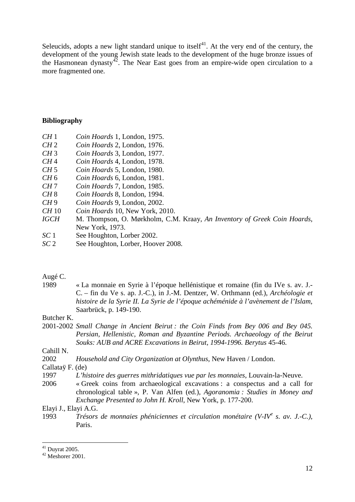Seleucids, adopts a new light standard unique to itself<sup>41</sup>. At the very end of the century, the development of the young Jewish state leads to the development of the huge bronze issues of the Hasmonean dynasty<sup>[42](#page-11-1)</sup>. The Near East goes from an empire-wide open circulation to a more fragmented one.

## **Bibliography**

- *CH* 1 *Coin Hoards* 1, London, 1975.
- *CH* 2 *Coin Hoards* 2, London, 1976.
- *CH* 3 *Coin Hoards* 3, London, 1977.
- *CH* 4 *Coin Hoards* 4, London, 1978.
- *CH* 5 *Coin Hoards* 5, London, 1980.
- *CH* 6 *Coin Hoards* 6, London, 1981.
- *CH* 7 *Coin Hoards* 7, London, 1985.
- *CH* 8 *Coin Hoards* 8, London, 1994.
- *CH* 9 *Coin Hoards* 9, London, 2002.
- *CH* 10 *Coin Hoards* 10, New York, 2010.
- *IGCH* M. Thompson, O. Mørkholm, C.M. Kraay, *An Inventory of Greek Coin Hoards*, New York, 1973.
- *SC* 1 See Houghton, Lorber 2002.
- *SC* 2 See Houghton, Lorber, Hoover 2008.

## Augé C.

1989 « La monnaie en Syrie à l'époque hellénistique et romaine (fin du IVe s. av. J.- C. – fin du Ve s. ap. J.-C.), in J.-M. Dentzer, W. Orthmann (ed.), *Archéologie et histoire de la Syrie II. La Syrie de l'époque achéménide à l'avènement de l'Islam*, Saarbrück, p. 149-190.

## Butcher K.

2001-2002 *Small Change in Ancient Beirut : the Coin Finds from Bey 006 and Bey 045. Persian, Hellenistic, Roman and Byzantine Periods. Archaeology of the Beirut Souks: AUB and ACRE Excavations in Beirut, 1994-1996. Berytus* 45-46.

Cahill N.

2002 *Household and City Organization at Olynthus*, New Haven / London.

Callataÿ F. (de)

- 1997 *L'histoire des guerres mithridatiques vue par les monnaies*, Louvain-la-Neuve.
- 2006 « Greek coins from archaeological excavations : a conspectus and a call for chronological table », P. Van Alfen (ed.), *Agoranomia : Studies in Money and Exchange Presented to John H. Kroll*, New York, p. 177-200.

1993 *Trésors de monnaies phéniciennes et circulation monétaire (V-IVe s. av. J.-C.)*, Paris.

Elayi J., Elayi A.G.

<span id="page-11-1"></span><span id="page-11-0"></span> $^{41}_{42}$  Duyrat 2005.<br> $^{42}$  Meshorer 2001.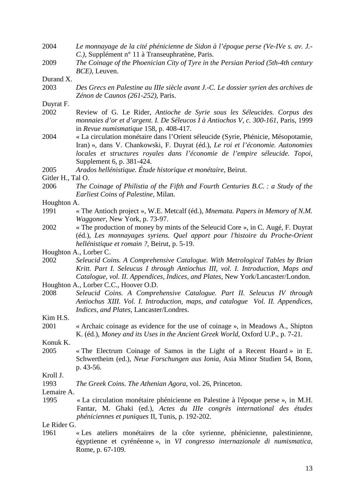- 2004 *Le monnayage de la cité phénicienne de Sidon à l'époque perse (Ve-IVe s. av. J.- C.)*, Supplément n° 11 à Transeuphratène, Paris.
- 2009 *The Coinage of the Phoenician City of Tyre in the Persian Period (5th-4th century BCE)*, Leuven.

- 2003 *Des Grecs en Palestine au IIIe siècle avant J.-C. Le dossier syrien des archives de Zénon de Caunos (261-252)*, Paris.
- Duyrat F.
- 2002 Review of G. Le Rider, *Antioche de Syrie sous les Séleucides. Corpus des monnaies d'or et d'argent. I. De Séleucos I à Antiochos V, c. 300-161*, Paris, 1999 in *Revue numismatique* 158, p. 408-417.
- 2004 « La circulation monétaire dans l'Orient séleucide (Syrie, Phénicie, Mésopotamie, Iran) », dans V. Chankowski, F. Duyrat (éd.), *Le roi et l'économie. Autonomies locales et structures royales dans l'économie de l'empire séleucide. Topoi*, Supplement 6, p. 381-424.
- 2005 *Arados hellénistique. Étude historique et monétaire*, Beirut.
- Gitler H., Tal O.
- 2006 *The Coinage of Philistia of the Fifth and Fourth Centuries B.C. : a Study of the Earliest Coins of Palestine*, Milan.

#### Houghton A.

- 1991 « The Antioch project », W.E. Metcalf (éd.), *Mnemata. Papers in Memory of N.M. Waggoner*, New York, p. 73-97.
- 2002 « The production of money by mints of the Seleucid Core », in C. Augé, F. Duyrat (éd.), *Les monnayages syriens. Quel apport pour l'histoire du Proche-Orient hellénistique et romain ?*, Beirut, p. 5-19.
- Houghton A., Lorber C.
- 2002 *Seleucid Coins. A Comprehensive Catalogue. With Metrological Tables by Brian Kritt. Part I. Seleucus I through Antiochus III, vol. I. Introduction, Maps and Catalogue, vol. II. Appendices, Indices, and Plates*, New York/Lancaster/London.
- Houghton A., Lorber C.C., Hoover O.D.
- 2008 *Seleucid Coins. A Comprehensive Catalogue. Part II. Seleucus IV through Antiochus XIII. Vol. I. Introduction, maps, and catalogue Vol. II. Appendices, Indices, and Plates*, Lancaster/Londres.
- Kim H.S.
- 2001 « Archaic coinage as evidence for the use of coinage », in Meadows A., Shipton K. (éd.), *Money and its Uses in the Ancient Greek World*, Oxford U.P., p. 7-21.

Konuk K.

2005 « The Electrum Coinage of Samos in the Light of a Recent Hoard » in E. Schwertheim (ed.), *Neue Forschungen aus Ionia*, Asia Minor Studien 54, Bonn, p. 43-56.

Kroll J.

1993 *The Greek Coins. The Athenian Agora*, vol. 26, Princeton.

Lemaire A.

1995 « La circulation monétaire phénicienne en Palestine à l'époque perse », in M.H. Fantar, M. Ghaki (ed.), *Actes du IIIe congrès international des études phéniciennes et puniques* II, Tunis, p. 192-202.

Le Rider G.

1961 « Les ateliers monétaires de la côte syrienne, phénicienne, palestinienne, égyptienne et cyrénéenne », in *VI congresso internazionale di numismatica*, Rome, p. 67-109.

Durand X.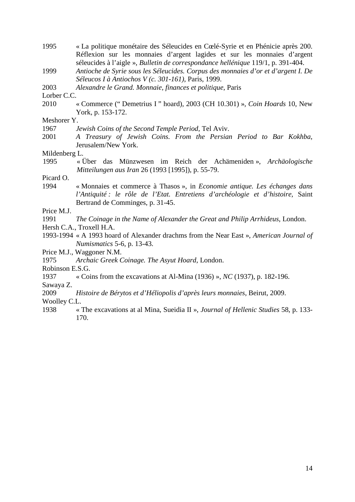| 1995 | « La politique monétaire des Séleucides en Cœlé-Syrie et en Phénicie après 200.     |  |  |  |  |  |
|------|-------------------------------------------------------------------------------------|--|--|--|--|--|
|      | Réflexion sur les monnaies d'argent lagides et sur les monnaies d'argent            |  |  |  |  |  |
|      | séleucides à l'aigle », Bulletin de correspondance hellénique $119/1$ , p. 391-404. |  |  |  |  |  |

- 1999 *Antioche de Syrie sous les Séleucides. Corpus des monnaies d'or et d'argent I. De Séleucos I à Antiochos V (c. 301-161)*, Paris, 1999.
- 2003 *Alexandre le Grand. Monnaie, finances et politique*, Paris

Lorber C.C.

2010 « Commerce (" Demetrius I " hoard), 2003 (CH 10.301) », *Coin Hoards* 10, New York, p. 153-172.

#### Meshorer Y.

- 1967 *Jewish Coins of the Second Temple Period*, Tel Aviv.
- 2001 *A Treasury of Jewish Coins. From the Persian Period to Bar Kokhba*, Jerusalem/New York.

Mildenberg L.

1995 « Über das Münzwesen im Reich der Achämeniden », *Archäologische Mitteilungen aus Iran* 26 (1993 [1995]), p. 55-79.

Picard O.

- 1994 « Monnaies et commerce à Thasos », in *Economie antique. Les échanges dans l'Antiquité : le rôle de l'Etat. Entretiens d'archéologie et d'histoire,* Saint Bertrand de Comminges, p. 31-45.
- Price M.J.
- 1991 *The Coinage in the Name of Alexander the Great and Philip Arrhideus*, London.

Hersh C.A., Troxell H.A.

- 1993-1994 « A 1993 hoard of Alexander drachms from the Near East », *American Journal of Numismatics* 5-6, p. 13-43.
- Price M.J., Waggoner N.M.
- 1975 *Archaic Greek Coinage. The Asyut Hoard*, London.

Robinson E.S.G.

1937 « Coins from the excavations at Al-Mina (1936) », *NC* (1937), p. 182-196.

Sawaya Z.

2009 *Histoire de Bérytos et d'Héliopolis d'après leurs monnaies*, Beirut, 2009.

Woolley C.L.

1938 « The excavations at al Mina, Sueidia II », *Journal of Hellenic Studies* 58, p. 133- 170.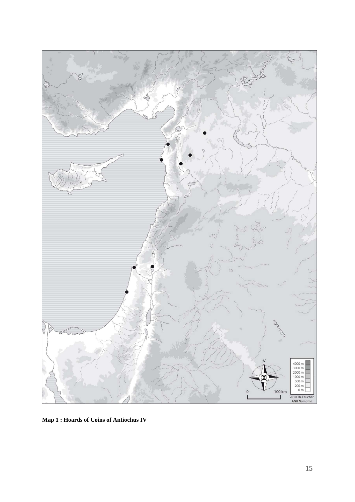

**Map 1 : Hoards of Coins of Antiochus IV**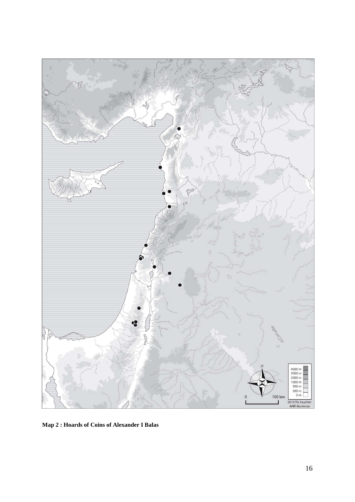

**Map 2 : Hoards of Coins of Alexander I Balas**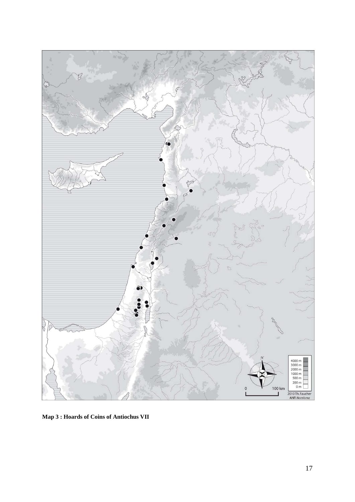

**Map 3 : Hoards of Coins of Antiochus VII**